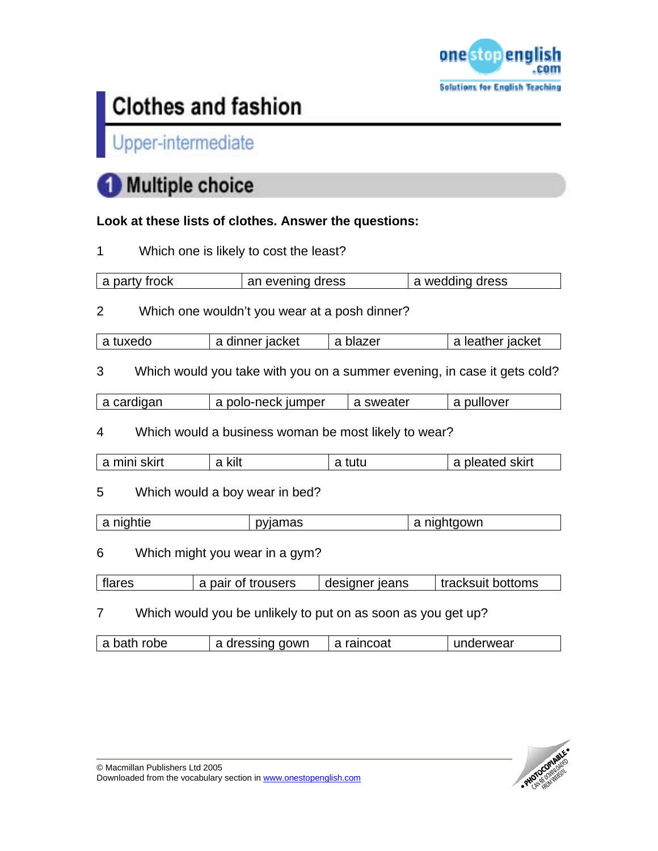

## Upper-intermediate

# **Multiple choice**

## **Look at these lists of clothes. Answer the questions:**

|  | Which one is likely to cost the least? |
|--|----------------------------------------|
|--|----------------------------------------|

| a party frock                       | an evening dress                                             |                |           | a wedding dress                                                          |  |
|-------------------------------------|--------------------------------------------------------------|----------------|-----------|--------------------------------------------------------------------------|--|
| $\overline{2}$                      | Which one wouldn't you wear at a posh dinner?                |                |           |                                                                          |  |
| a tuxedo                            | a dinner jacket                                              | a blazer       |           | a leather jacket                                                         |  |
| 3                                   |                                                              |                |           | Which would you take with you on a summer evening, in case it gets cold? |  |
| a cardigan                          | a polo-neck jumper                                           |                | a sweater | a pullover                                                               |  |
| 4                                   | Which would a business woman be most likely to wear?         |                |           |                                                                          |  |
| a mini skirt                        | a kilt                                                       | a tutu         |           | a pleated skirt                                                          |  |
| 5                                   | Which would a boy wear in bed?                               |                |           |                                                                          |  |
| a nightie                           | pyjamas                                                      |                |           | a nightgown                                                              |  |
| 6<br>Which might you wear in a gym? |                                                              |                |           |                                                                          |  |
| flares                              | a pair of trousers                                           | designer jeans |           | tracksuit bottoms                                                        |  |
| $\overline{7}$                      | Which would you be unlikely to put on as soon as you get up? |                |           |                                                                          |  |
| a bath robe                         | a dressing gown                                              | a raincoat     |           | underwear                                                                |  |

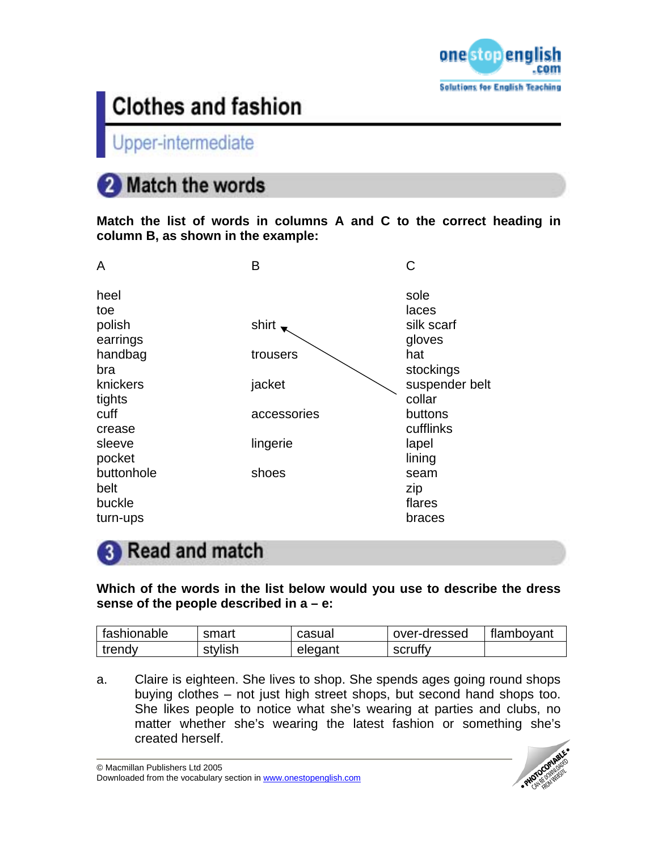

Upper-intermediate

# 2 Match the words

**Match the list of words in columns A and C to the correct heading in column B, as shown in the example:** 

| A          | B           | С              |
|------------|-------------|----------------|
| heel       |             | sole           |
| toe        |             | laces          |
| polish     | shirt       | silk scarf     |
| earrings   |             | gloves         |
| handbag    | trousers    | hat            |
| bra        |             | stockings      |
| knickers   | jacket      | suspender belt |
| tights     |             | collar         |
| cuff       | accessories | buttons        |
| crease     |             | cufflinks      |
| sleeve     | lingerie    | lapel          |
| pocket     |             | lining         |
| buttonhole | shoes       | seam           |
| belt       |             | zip            |
| buckle     |             | flares         |
| turn-ups   |             | braces         |
|            |             |                |

## **8** Read and match

**Which of the words in the list below would you use to describe the dress sense of the people described in a – e:** 

| fashionable | smart   | casual  | over-dressed | flamboyant |
|-------------|---------|---------|--------------|------------|
| trendy      | stylish | elegant | scruffy      |            |

a. Claire is eighteen. She lives to shop. She spends ages going round shops buying clothes – not just high street shops, but second hand shops too. She likes people to notice what she's wearing at parties and clubs, no matter whether she's wearing the latest fashion or something she's created herself.

© Macmillan Publishers Ltd 2005 Downloaded from the vocabulary section in www.onestopenglish.com

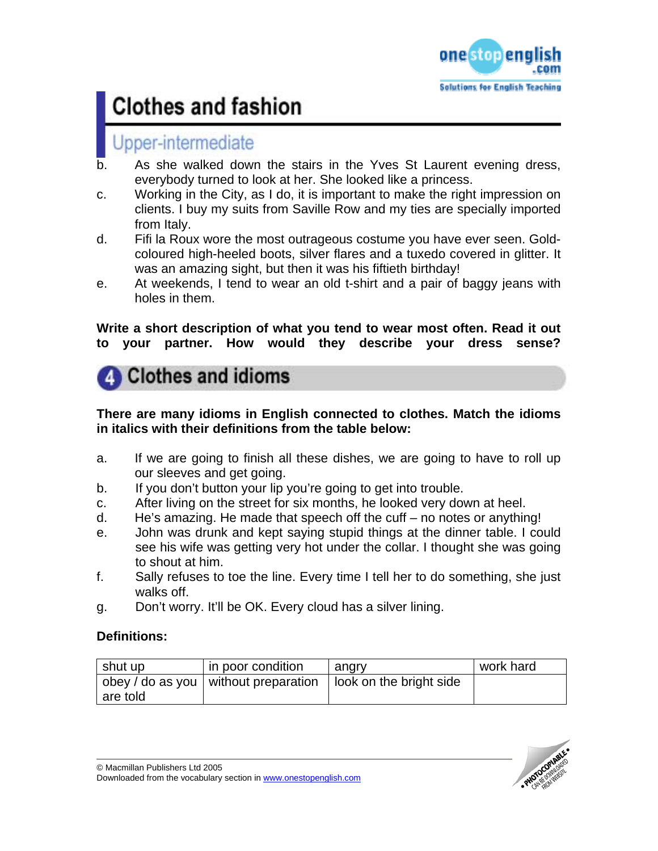

## Jpper-intermediate

- b. As she walked down the stairs in the Yves St Laurent evening dress, everybody turned to look at her. She looked like a princess.
- c. Working in the City, as I do, it is important to make the right impression on clients. I buy my suits from Saville Row and my ties are specially imported from Italy.
- d. Fifi la Roux wore the most outrageous costume you have ever seen. Goldcoloured high-heeled boots, silver flares and a tuxedo covered in glitter. It was an amazing sight, but then it was his fiftieth birthday!
- e. At weekends, I tend to wear an old t-shirt and a pair of baggy jeans with holes in them.

**Write a short description of what you tend to wear most often. Read it out to your partner. How would they describe your dress sense?** 



### **There are many idioms in English connected to clothes. Match the idioms in italics with their definitions from the table below:**

- a. If we are going to finish all these dishes, we are going to have to roll up our sleeves and get going.
- b. If you don't button your lip you're going to get into trouble.
- c. After living on the street for six months, he looked very down at heel.
- d. He's amazing. He made that speech off the cuff no notes or anything!
- e. John was drunk and kept saying stupid things at the dinner table. I could see his wife was getting very hot under the collar. I thought she was going to shout at him.
- f. Sally refuses to toe the line. Every time I tell her to do something, she just walks off.
- g. Don't worry. It'll be OK. Every cloud has a silver lining.

### **Definitions:**

| shut up  | in poor condition                      | angry                   | work hard |
|----------|----------------------------------------|-------------------------|-----------|
|          | obey / do as you   without preparation | look on the bright side |           |
| are told |                                        |                         |           |

© Macmillan Publishers Ltd 2005 Downloaded from the vocabulary section in www.onestopenglish.com

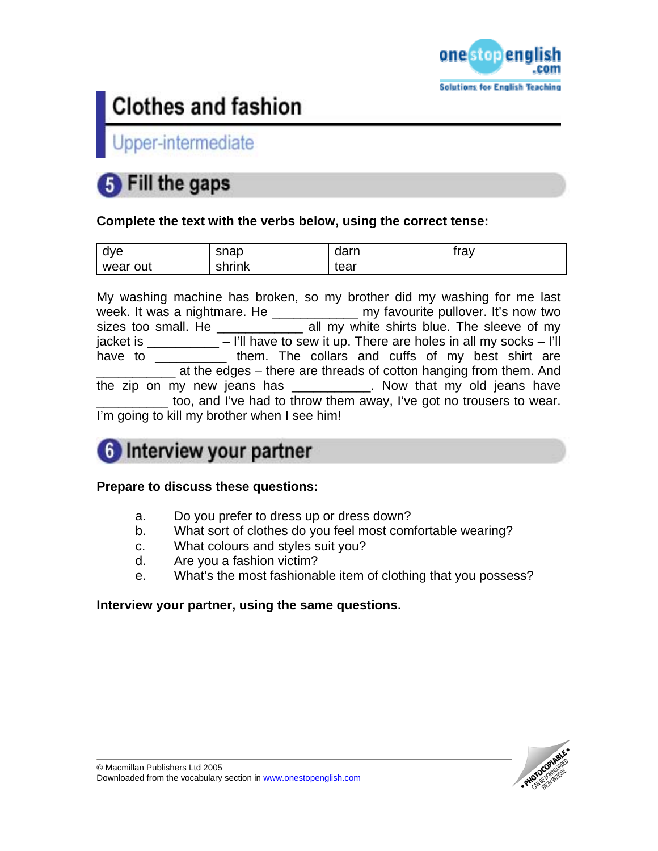

Upper-intermediate

## Fill the gaps

### **Complete the text with the verbs below, using the correct tense:**

| dve      | snap   | dorn<br>ualll | tron<br>11 av |
|----------|--------|---------------|---------------|
| wear out | ፡hrink | tear          |               |

My washing machine has broken, so my brother did my washing for me last week. It was a nightmare. He \_\_\_\_\_\_\_\_\_\_\_\_\_ my favourite pullover. It's now two sizes too small. He \_\_\_\_\_\_\_\_\_\_\_\_\_ all my white shirts blue. The sleeve of my jacket is  $\frac{1}{\sqrt{2}}$  – I'll have to sew it up. There are holes in all my socks – I'll have to \_\_\_\_\_\_\_\_\_\_\_ them. The collars and cuffs of my best shirt are at the edges – there are threads of cotton hanging from them. And the zip on my new jeans has \_\_\_\_\_\_\_\_\_\_\_. Now that my old jeans have too, and I've had to throw them away, I've got no trousers to wear. I'm going to kill my brother when I see him!

## 6 Interview your partner

### **Prepare to discuss these questions:**

- a. Do you prefer to dress up or dress down?
- b. What sort of clothes do you feel most comfortable wearing?
- c. What colours and styles suit you?
- d. Are you a fashion victim?
- e. What's the most fashionable item of clothing that you possess?

### **Interview your partner, using the same questions.**

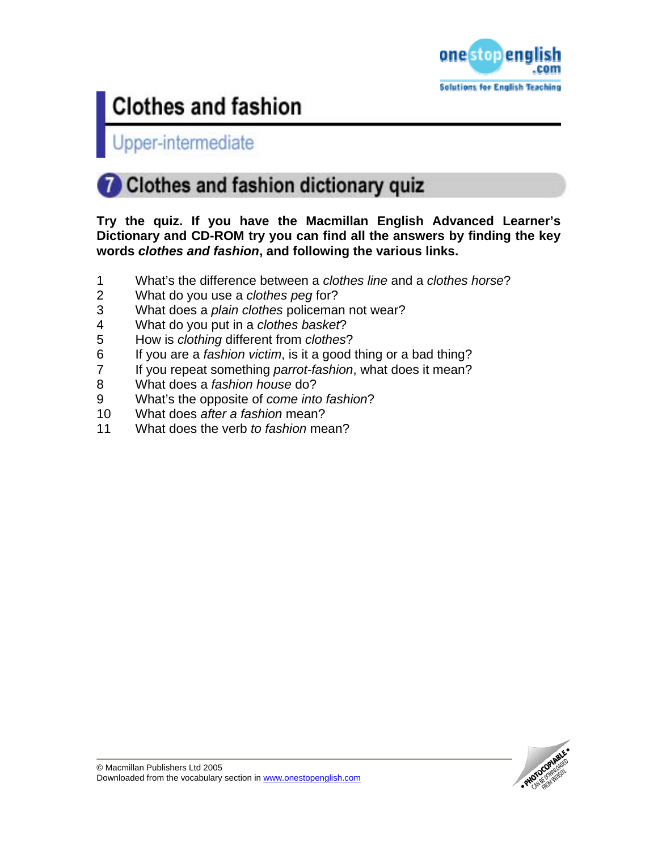

Upper-intermediate

# Clothes and fashion dictionary quiz

**Try the quiz. If you have the Macmillan English Advanced Learner's Dictionary and CD-ROM try you can find all the answers by finding the key words** *clothes and fashion***, and following the various links.** 

- 1 What's the difference between a *clothes line* and a *clothes horse*?
- 2 What do you use a *clothes peg* for?
- 3 What does a *plain clothes* policeman not wear?
- 4 What do you put in a *clothes basket*?
- 5 How is *clothing* different from *clothes*?
- 6 If you are a *fashion victim*, is it a good thing or a bad thing?
- 7 If you repeat something *parrot-fashion*, what does it mean?
- 8 What does a *fashion house* do?
- 9 What's the opposite of *come into fashion*?
- 10 What does *after a fashion* mean?
- 11 What does the verb *to fashion* mean?

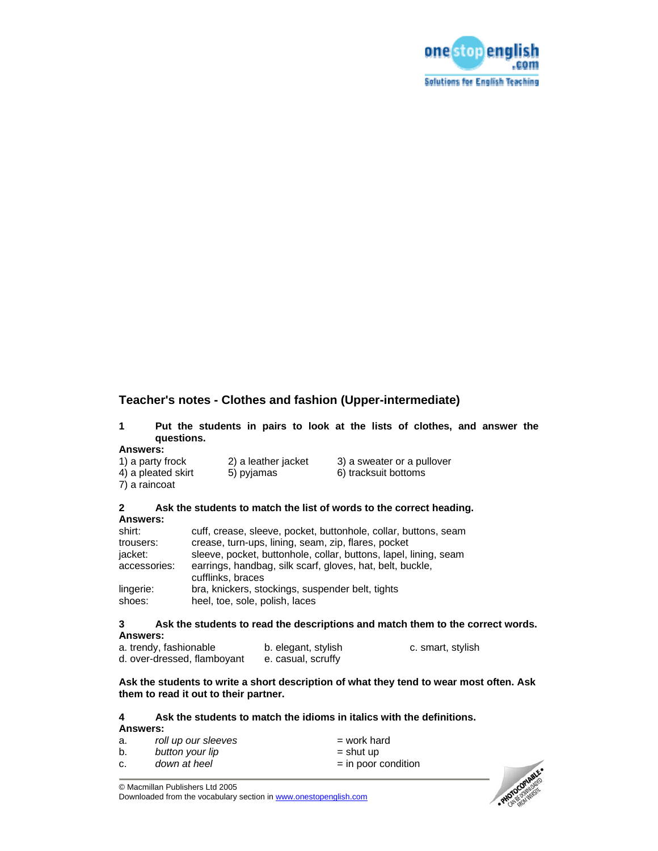

### **Teacher's notes - Clothes and fashion (Upper-intermediate)**

|            | Put the students in pairs to look at the lists of clothes, and answer the |  |  |  |  |  |  |
|------------|---------------------------------------------------------------------------|--|--|--|--|--|--|
| questions. |                                                                           |  |  |  |  |  |  |

#### **Answers:**

| 1) a party frock   | 2) a leather jacket | 3) a sweater or a pullover |
|--------------------|---------------------|----------------------------|
| 4) a pleated skirt | 5) pyjamas          | 6) tracksuit bottoms       |
| 7) a raincoat      |                     |                            |

#### **2 Ask the students to match the list of words to the correct heading. Answers:**

| shirt:       | cuff, crease, sleeve, pocket, buttonhole, collar, buttons, seam                |
|--------------|--------------------------------------------------------------------------------|
| trousers:    | crease, turn-ups, lining, seam, zip, flares, pocket                            |
| jacket:      | sleeve, pocket, buttonhole, collar, buttons, lapel, lining, seam               |
| accessories: | earrings, handbag, silk scarf, gloves, hat, belt, buckle,<br>cufflinks, braces |
| lingerie:    | bra, knickers, stockings, suspender belt, tights                               |
| shoes:       | heel, toe, sole, polish, laces                                                 |

#### **3 Ask the students to read the descriptions and match them to the correct words. Answers:**

| a. trendy, fashionable      | b. elegant, stylish | c. smart, stylish |
|-----------------------------|---------------------|-------------------|
| d. over-dressed, flamboyant | e. casual, scruffy  |                   |

#### **Ask the students to write a short description of what they tend to wear most often. Ask them to read it out to their partner.**

### **4 Ask the students to match the idioms in italics with the definitions.**

| Answers:            |                       |  |  |  |  |
|---------------------|-----------------------|--|--|--|--|
| roll up our sleeves | $=$ work hard         |  |  |  |  |
| button your lip     | $=$ shut up           |  |  |  |  |
| down at heel        | $=$ in poor condition |  |  |  |  |
|                     |                       |  |  |  |  |



© Macmillan Publishers Ltd 2005

Downloaded from the vocabulary section in www.onestopenglish.com